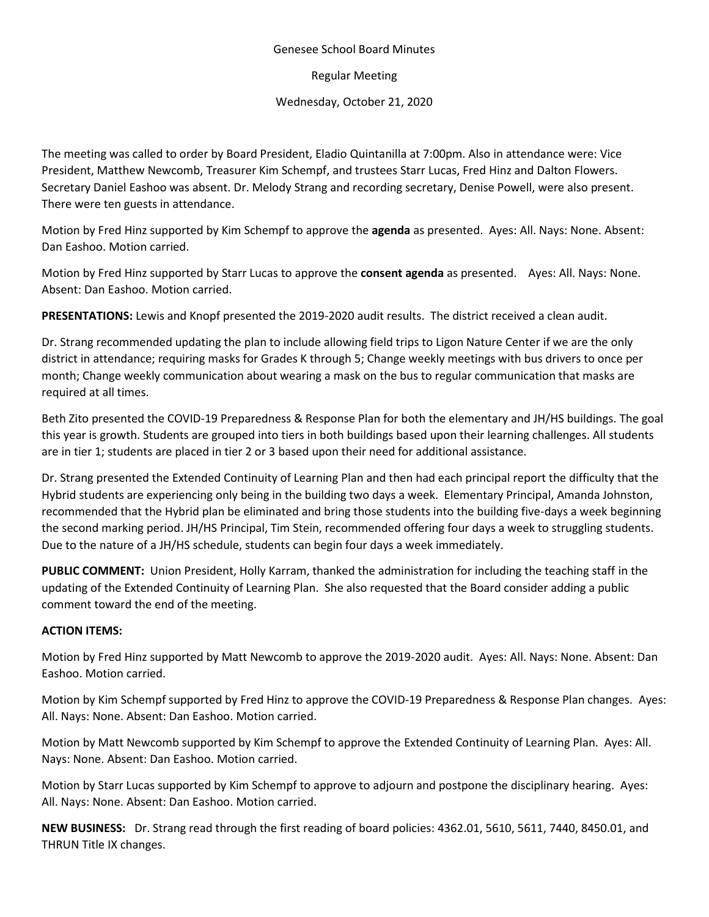## Genesee School Board Minutes

Regular Meeting

Wednesday, October 21, 2020

The meeting was called to order by Board President, Eladio Quintanilla at 7:00pm. Also in attendance were: Vice President, Matthew Newcomb, Treasurer Kim Schempf, and trustees Starr Lucas, Fred Hinz and Dalton Flowers. Secretary Daniel Eashoo was absent. Dr. Melody Strang and recording secretary, Denise Powell, were also present. There were ten guests in attendance.

Motion by Fred Hinz supported by Kim Schempf to approve the **agenda** as presented. Ayes: All. Nays: None. Absent: Dan Eashoo. Motion carried.

Motion by Fred Hinz supported by Starr Lucas to approve the **consent agenda** as presented. Ayes: All. Nays: None. Absent: Dan Eashoo. Motion carried.

**PRESENTATIONS:** Lewis and Knopf presented the 2019-2020 audit results. The district received a clean audit.

Dr. Strang recommended updating the plan to include allowing field trips to Ligon Nature Center if we are the only district in attendance; requiring masks for Grades K through 5; Change weekly meetings with bus drivers to once per month; Change weekly communication about wearing a mask on the bus to regular communication that masks are required at all times.

Beth Zito presented the COVID-19 Preparedness & Response Plan for both the elementary and JH/HS buildings. The goal this year is growth. Students are grouped into tiers in both buildings based upon their learning challenges. All students are in tier 1; students are placed in tier 2 or 3 based upon their need for additional assistance.

Dr. Strang presented the Extended Continuity of Learning Plan and then had each principal report the difficulty that the Hybrid students are experiencing only being in the building two days a week. Elementary Principal, Amanda Johnston, recommended that the Hybrid plan be eliminated and bring those students into the building five-days a week beginning the second marking period. JH/HS Principal, Tim Stein, recommended offering four days a week to struggling students. Due to the nature of a JH/HS schedule, students can begin four days a week immediately.

**PUBLIC COMMENT:** Union President, Holly Karram, thanked the administration for including the teaching staff in the updating of the Extended Continuity of Learning Plan. She also requested that the Board consider adding a public comment toward the end of the meeting.

## **ACTION ITEMS:**

Motion by Fred Hinz supported by Matt Newcomb to approve the 2019-2020 audit. Ayes: All. Nays: None. Absent: Dan Eashoo. Motion carried.

Motion by Kim Schempf supported by Fred Hinz to approve the COVID-19 Preparedness & Response Plan changes. Ayes: All. Nays: None. Absent: Dan Eashoo. Motion carried.

Motion by Matt Newcomb supported by Kim Schempf to approve the Extended Continuity of Learning Plan. Ayes: All. Nays: None. Absent: Dan Eashoo. Motion carried.

Motion by Starr Lucas supported by Kim Schempf to approve to adjourn and postpone the disciplinary hearing. Ayes: All. Nays: None. Absent: Dan Eashoo. Motion carried.

**NEW BUSINESS:** Dr. Strang read through the first reading of board policies: [4362.01, 5610, 5611, 7440, 8450.01,](https://drive.google.com/file/d/1SjbESmNC1AAoOnVnAfxnmHcJtQeeyrO1/view?usp=sharing) and [THRUN Title IX](https://drive.google.com/file/d/1Duajg-9HRlRvFNbcM2II49NIRpc_o6aa/view?usp=sharing) changes.